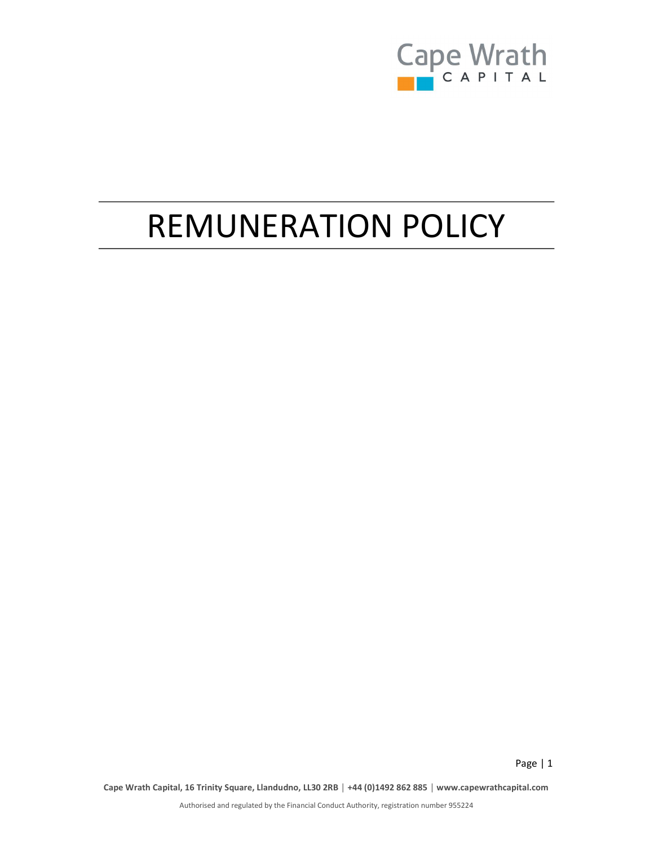

Page | 1

# REMUNERATION POLICY

Cape Wrath Capital, 16 Trinity Square, Llandudno, LL30 2RB │ +44 (0)1492 862 885 │ www.capewrathcapital.com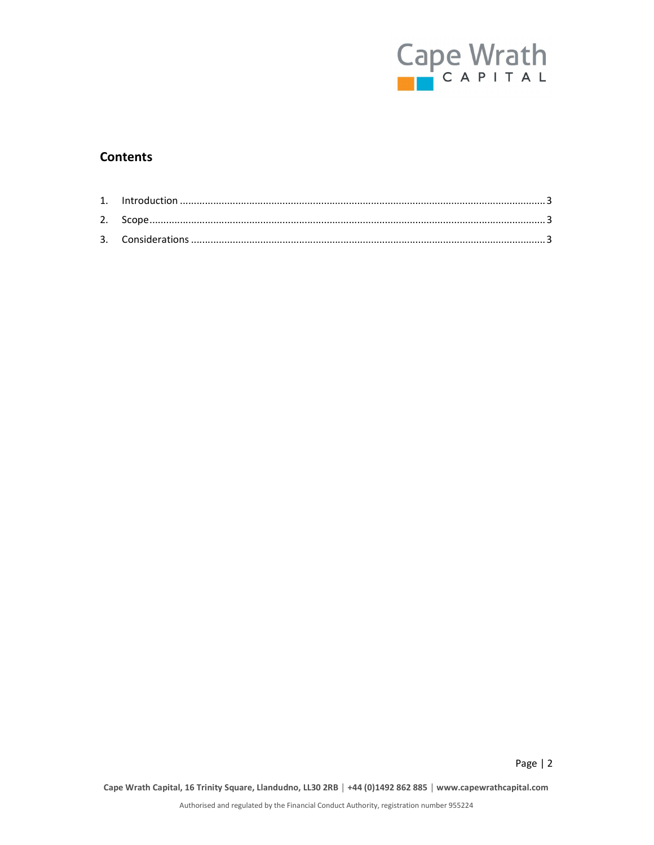

Page | 2

#### Contents